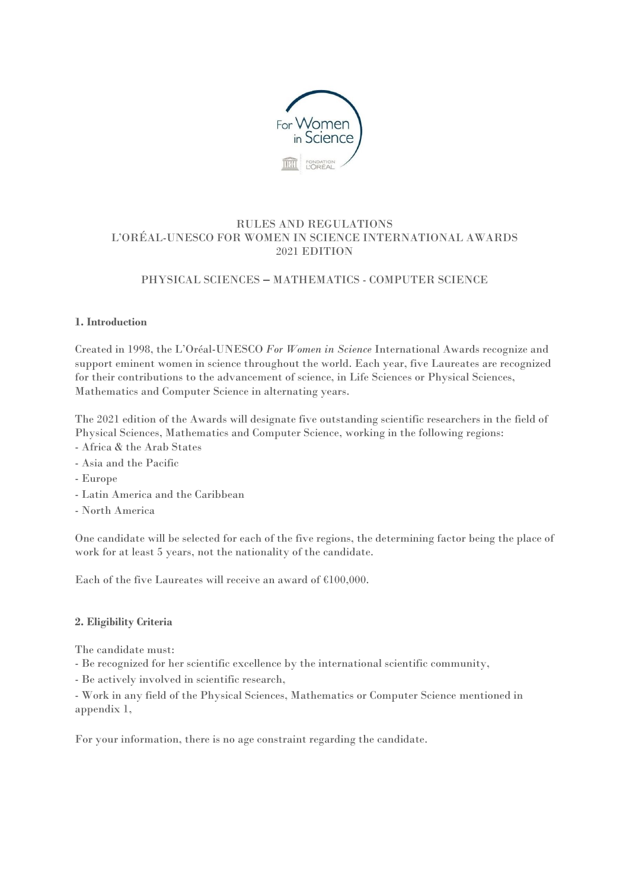

# RULES AND REGULATIONS L'ORÉAL-UNESCO FOR WOMEN IN SCIENCE INTERNATIONAL AWARDS 2021 EDITION

# PHYSICAL SCIENCES **–** MATHEMATICS - COMPUTER SCIENCE

## **1. Introduction**

Created in 1998, the L'Oréal-UNESCO *For Women in Science* International Awards recognize and support eminent women in science throughout the world. Each year, five Laureates are recognized for their contributions to the advancement of science, in Life Sciences or Physical Sciences, Mathematics and Computer Science in alternating years.

The 2021 edition of the Awards will designate five outstanding scientific researchers in the field of Physical Sciences, Mathematics and Computer Science, working in the following regions:

- Africa & the Arab States
- Asia and the Pacific
- Europe
- Latin America and the Caribbean
- North America

One candidate will be selected for each of the five regions, the determining factor being the place of work for at least 5 years, not the nationality of the candidate.

Each of the five Laureates will receive an award of €100,000.

#### **2. Eligibility Criteria**

The candidate must:

- Be recognized for her scientific excellence by the international scientific community,

- Be actively involved in scientific research,

- Work in any field of the Physical Sciences, Mathematics or Computer Science mentioned in appendix 1,

For your information, there is no age constraint regarding the candidate.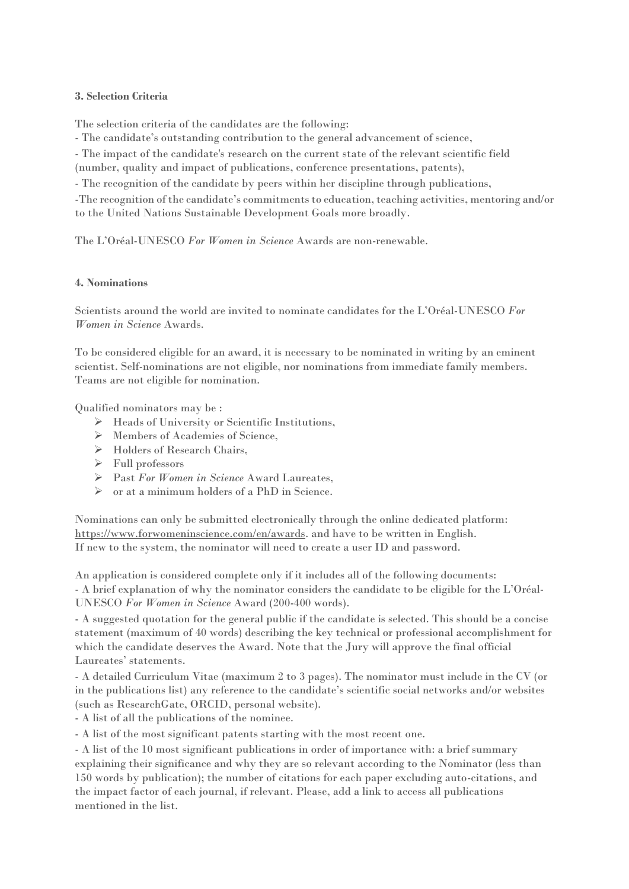### **3. Selection Criteria**

The selection criteria of the candidates are the following:

- The candidate's outstanding contribution to the general advancement of science,

- The impact of the candidate's research on the current state of the relevant scientific field

(number, quality and impact of publications, conference presentations, patents),

- The recognition of the candidate by peers within her discipline through publications,

-The recognition of the candidate's commitments to education, teaching activities, mentoring and/or to the United Nations Sustainable Development Goals more broadly.

The L'Oréal-UNESCO *For Women in Science* Awards are non-renewable.

## **4. Nominations**

Scientists around the world are invited to nominate candidates for the L'Oréal-UNESCO *For Women in Science* Awards.

To be considered eligible for an award, it is necessary to be nominated in writing by an eminent scientist. Self-nominations are not eligible, nor nominations from immediate family members. Teams are not eligible for nomination.

Qualified nominators may be :

- Heads of University or Scientific Institutions,
- $\triangleright$  Members of Academies of Science.
- > Holders of Research Chairs,
- Full professors
- Past *For Women in Science* Award Laureates,
- $\triangleright$  or at a minimum holders of a PhD in Science.

Nominations can only be submitted electronically through the online dedicated platform: [https://www.forwomeninscience.com/en/awards.](https://www.forwomeninscience.com/en/awards) and have to be written in English. If new to the system, the nominator will need to create a user ID and password.

An application is considered complete only if it includes all of the following documents: - A brief explanation of why the nominator considers the candidate to be eligible for the L'Oréal-UNESCO *For Women in Science* Award (200-400 words).

- A suggested quotation for the general public if the candidate is selected. This should be a concise statement (maximum of 40 words) describing the key technical or professional accomplishment for which the candidate deserves the Award. Note that the Jury will approve the final official Laureates' statements.

- A detailed Curriculum Vitae (maximum 2 to 3 pages). The nominator must include in the CV (or in the publications list) any reference to the candidate's scientific social networks and/or websites (such as ResearchGate, ORCID, personal website).

- A list of all the publications of the nominee.

- A list of the most significant patents starting with the most recent one.

- A list of the 10 most significant publications in order of importance with: a brief summary explaining their significance and why they are so relevant according to the Nominator (less than 150 words by publication); the number of citations for each paper excluding auto-citations, and the impact factor of each journal, if relevant. Please, add a link to access all publications mentioned in the list.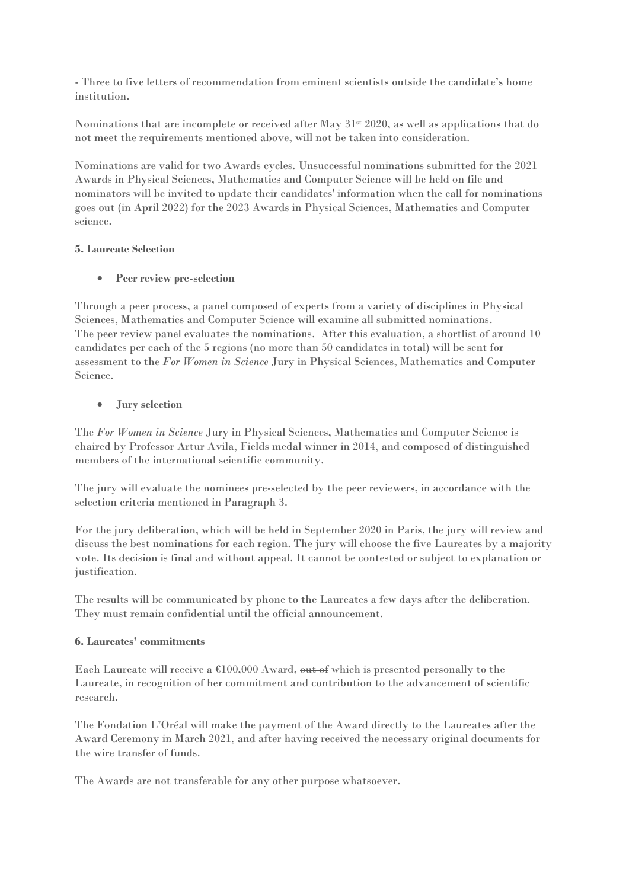- Three to five letters of recommendation from eminent scientists outside the candidate's home institution.

Nominations that are incomplete or received after May 31<sup>st</sup> 2020, as well as applications that do not meet the requirements mentioned above, will not be taken into consideration.

Nominations are valid for two Awards cycles. Unsuccessful nominations submitted for the 2021 Awards in Physical Sciences, Mathematics and Computer Science will be held on file and nominators will be invited to update their candidates' information when the call for nominations goes out (in April 2022) for the 2023 Awards in Physical Sciences, Mathematics and Computer science.

## **5. Laureate Selection**

## **Peer review pre-selection**

Through a peer process, a panel composed of experts from a variety of disciplines in Physical Sciences, Mathematics and Computer Science will examine all submitted nominations. The peer review panel evaluates the nominations. After this evaluation, a shortlist of around 10 candidates per each of the 5 regions (no more than 50 candidates in total) will be sent for assessment to the *For Women in Science* Jury in Physical Sciences, Mathematics and Computer Science.

## **Jury selection**

The *For Women in Science* Jury in Physical Sciences, Mathematics and Computer Science is chaired by Professor Artur Avila, Fields medal winner in 2014, and composed of distinguished members of the international scientific community.

The jury will evaluate the nominees pre-selected by the peer reviewers, in accordance with the selection criteria mentioned in Paragraph 3.

For the jury deliberation, which will be held in September 2020 in Paris, the jury will review and discuss the best nominations for each region. The jury will choose the five Laureates by a majority vote. Its decision is final and without appeal. It cannot be contested or subject to explanation or justification.

The results will be communicated by phone to the Laureates a few days after the deliberation. They must remain confidential until the official announcement.

#### **6. Laureates' commitments**

Each Laureate will receive a  $$100,000$  Award, out of which is presented personally to the Laureate, in recognition of her commitment and contribution to the advancement of scientific research.

The Fondation L'Oréal will make the payment of the Award directly to the Laureates after the Award Ceremony in March 2021, and after having received the necessary original documents for the wire transfer of funds.

The Awards are not transferable for any other purpose whatsoever.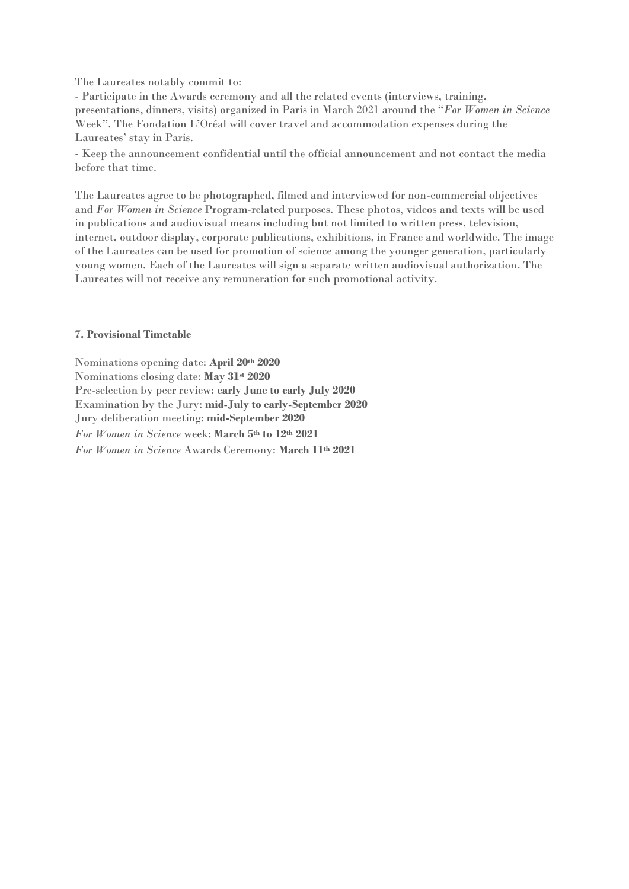The Laureates notably commit to:

- Participate in the Awards ceremony and all the related events (interviews, training, presentations, dinners, visits) organized in Paris in March 2021 around the "*For Women in Science* Week". The Fondation L'Oréal will cover travel and accommodation expenses during the Laureates' stay in Paris.

- Keep the announcement confidential until the official announcement and not contact the media before that time.

The Laureates agree to be photographed, filmed and interviewed for non-commercial objectives and *For Women in Science* Program-related purposes. These photos, videos and texts will be used in publications and audiovisual means including but not limited to written press, television, internet, outdoor display, corporate publications, exhibitions, in France and worldwide. The image of the Laureates can be used for promotion of science among the younger generation, particularly young women. Each of the Laureates will sign a separate written audiovisual authorization. The Laureates will not receive any remuneration for such promotional activity.

#### **7. Provisional Timetable**

Nominations opening date: **April 20th 2020** Nominations closing date: **May 31st 2020** Pre-selection by peer review: **early June to early July 2020** Examination by the Jury: **mid-July to early-September 2020** Jury deliberation meeting: **mid-September 2020** *For Women in Science* week: **March 5th to 12th 2021** *For Women in Science* Awards Ceremony: **March 11th 2021**